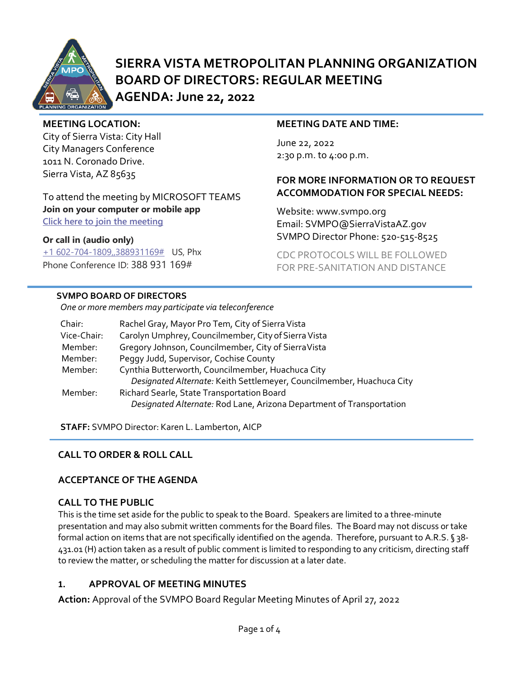

# **SIERRA VISTA METROPOLITAN PLANNING ORGANIZATION BOARD OF DIRECTORS: REGULAR MEETING AGENDA: June 22, 2022**

June 22, 2022

2:30 p.m. to 4:00 p.m.

Website: www.svmpo.org

Email: SVMPO@SierraVistaAZ.gov SVMPO Director Phone: 520-515-8525

CDC PROTOCOLS WILL BE FOLLOWED FOR PRE-SANITATION AND DISTANCE

**MEETING DATE AND TIME:** 

**FOR MORE INFORMATION OR TO REQUEST ACCOMMODATION FOR SPECIAL NEEDS:** 

**MEETING LOCATION:** 

City of Sierra Vista: City Hall City Managers Conference 1011 N. Coronado Drive. Sierra Vista, AZ 85635

To attend the meeting by MICROSOFT TEAMS **Join on your computer or mobile app [Click here to join the meeting](https://teams.microsoft.com/l/meetup-join/19%3ameeting_NmNiNWNkNzgtM2M0NC00Nzg0LWFlYTgtMmRlMmRjYTY5MGY3%40thread.v2/0?context=%7b%22Tid%22%3a%2236676c86-4a76-422a-8d4e-223152386488%22%2c%22Oid%22%3a%22956098f9-794b-4934-9a34-9a99f53bf1f3%22%7d)**

## **Or call in (audio only)**

[+1 602-704-1809,,388931169#](tel:+16027041809,,388931169#%20) US, Phx Phone Conference ID: 388 931 169#

## **SVMPO BOARD OF DIRECTORS**

*One or more members may participate via teleconference*

| Chair:      | Rachel Gray, Mayor Pro Tem, City of Sierra Vista                      |
|-------------|-----------------------------------------------------------------------|
| Vice-Chair: | Carolyn Umphrey, Councilmember, City of Sierra Vista                  |
| Member:     | Gregory Johnson, Councilmember, City of SierraVista                   |
| Member:     | Peggy Judd, Supervisor, Cochise County                                |
| Member:     | Cynthia Butterworth, Councilmember, Huachuca City                     |
|             | Designated Alternate: Keith Settlemeyer, Councilmember, Huachuca City |
| Member:     | Richard Searle, State Transportation Board                            |
|             | Designated Alternate: Rod Lane, Arizona Department of Transportation  |
|             |                                                                       |

**STAFF:** SVMPO Director: Karen L. Lamberton, AICP

# **CALL TO ORDER & ROLL CALL**

#### **ACCEPTANCE OF THE AGENDA**

#### **CALL TO THE PUBLIC**

This is the time set aside for the public to speak to the Board. Speakers are limited to a three-minute presentation and may also submit written comments for the Board files. The Board may not discuss or take formal action on items that are not specifically identified on the agenda. Therefore, pursuant to A.R.S. § 38-431.01 (H) action taken as a result of public comment is limited to responding to any criticism, directing staff to review the matter, or scheduling the matter for discussion at a later date.

## **1. APPROVAL OF MEETING MINUTES**

**Action:** Approval of the SVMPO Board Regular Meeting Minutes of April 27, 2022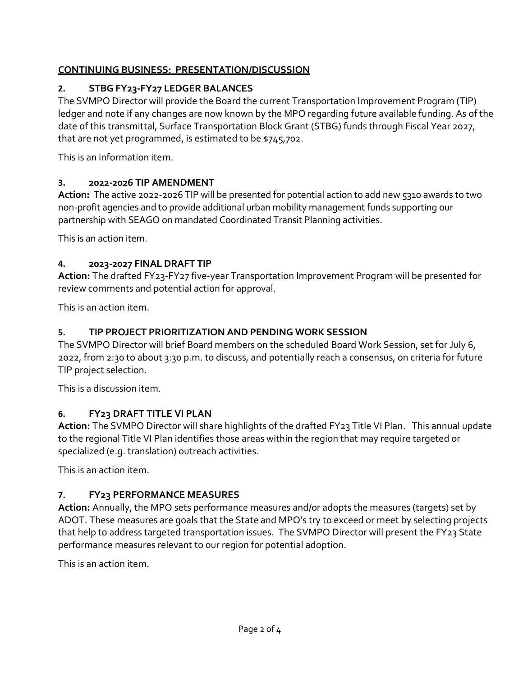## **CONTINUING BUSINESS: PRESENTATION/DISCUSSION**

# **2. STBG FY23-FY27 LEDGER BALANCES**

The SVMPO Director will provide the Board the current Transportation Improvement Program (TIP) ledger and note if any changes are now known by the MPO regarding future available funding. As of the date of this transmittal, Surface Transportation Block Grant (STBG) funds through Fiscal Year 2027, that are not yet programmed, is estimated to be \$745,702.

This is an information item.

## **3. 2022-2026 TIP AMENDMENT**

**Action:** The active 2022-2026 TIP will be presented for potential action to add new 5310 awards to two non-profit agencies and to provide additional urban mobility management funds supporting our partnership with SEAGO on mandated Coordinated Transit Planning activities.

This is an action item.

## **4. 2023-2027 FINAL DRAFT TIP**

**Action:** The drafted FY23-FY27 five-year Transportation Improvement Program will be presented for review comments and potential action for approval.

This is an action item.

## **5. TIP PROJECT PRIORITIZATION AND PENDING WORK SESSION**

The SVMPO Director will brief Board members on the scheduled Board Work Session, set for July 6, 2022, from 2:30 to about 3:30 p.m. to discuss, and potentially reach a consensus, on criteria for future TIP project selection.

This is a discussion item.

## **6. FY23 DRAFT TITLE VI PLAN**

**Action:** The SVMPO Director will share highlights of the drafted FY23 Title VI Plan. This annual update to the regional Title VI Plan identifies those areas within the region that may require targeted or specialized (e.g. translation) outreach activities.

This is an action item.

# **7. FY23 PERFORMANCE MEASURES**

**Action:** Annually, the MPO sets performance measures and/or adopts the measures (targets) set by ADOT. These measures are goals that the State and MPO's try to exceed or meet by selecting projects that help to address targeted transportation issues. The SVMPO Director will present the FY23 State performance measures relevant to our region for potential adoption.

This is an action item.